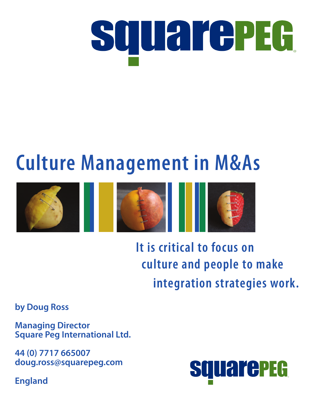

# **Culture Management in M&As**



**It is critical to focus on culture and people to make integration strategies work.**

**by Doug Ross**

**Managing Director Square Peg International Ltd.**

**44 (0) 7717 665007 [doug.ross@squarepeg.com](mailto:doug.ross@squarepeg.com)**

**England**

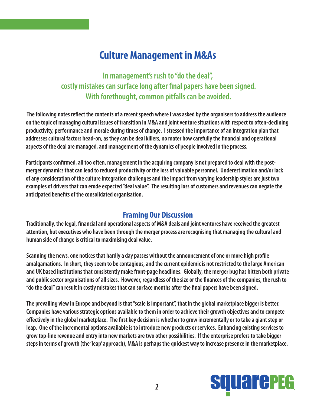## **Culture Management in M&As**

**In management's rush to "do the deal", costly mistakes can surface long after final papers have been signed. With forethought, common pitfalls can be avoided.**

 **The following notes reflect the contents of a recent speech where I was asked by the organisers to address the audience on the topic of managing cultural issues of transition in M&A and joint venture situations with respect to often-declining productivity, performance and morale during times of change. I stressed the importance of an integration plan that addresses cultural factors head-on, as they can be deal killers, no mater how carefully the financial and operational aspects of the deal are managed, and management of the dynamics of people involved in the process.**

**Participants confirmed, all too often, management in the acquiring company is not prepared to deal with the postmerger dynamics that can lead to reduced productivity or the loss of valuable personnel. Underestimation and/or lack of any consideration of the culture integration challenges and the impact from varying leadership styles are just two examples of drivers that can erode expected "deal value". The resulting loss of customers and revenues can negate the anticipated benefits of the consolidated organisation.**

#### **Framing Our Discussion**

**Traditionally, the legal, financial and operational aspects of M&A deals and joint ventures have received the greatest attention, but executives who have been through the merger process are recognising that managing the cultural and human side of change is critical to maximising deal value.**

**Scanning the news, one notices that hardly a day passes without the announcement of one or more high profile amalgamations. In short, they seem to be contagious, and the current epidemic is not restricted to the large American and UK based institutions that consistently make front-page headlines. Globally, the merger bug has bitten both private and public sector organisations of all sizes. However, regardless of the size or the finances of the companies, the rush to "do the deal" can result in costly mistakes that can surface months after the final papers have been signed.** 

**The prevailing view in Europe and beyond is that "scale is important", that in the global marketplace bigger is better. Companies have various strategic options available to them in order to achieve their growth objectives and to compete effectively in the global marketplace. The first key decision is whether to grow incrementally or to take a giant step or leap. One of the incremental options available is to introduce new products or services. Enhancing existing services to grow top-line revenue and entry into new markets are two other possibilities. If the enterprise prefers to take bigger steps in terms of growth (the 'leap' approach), M&A is perhaps the quickest way to increase presence in the marketplace.**

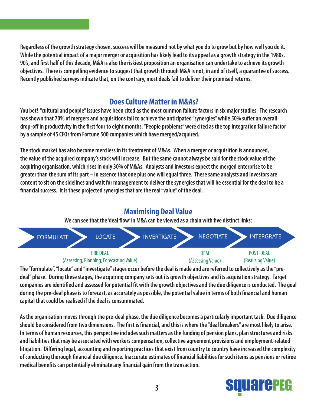**Regardless of the growth strategy chosen, success will be measured not by what you do to grow but by how well you do it. While the potential impact of a major merger or acquisition has likely lead to its appeal as a growth strategy in the 1980s, 90's, and first half of this decade, M&A is also the riskiest proposition an organisation can undertake to achieve its growth objectives. There is compelling evidence to suggest that growth through M&A is not, in and of itself, a guarantee of success. Recently published surveys indicate that, on the contrary, most deals fail to deliver their promised returns.**

#### **Does Culture Matter in M&As?**

**You bet! "cultural and people" issues have been cited as the most common failure factors in six major studies. The research has shown that 70% of mergers and acquisitions fail to achieve the anticipated "synergies" while 50% suffer an overall drop-off in productivity in the first four to eight months. "People problems" were cited as the top integration failure factor by a sample of 45 CFOs from Fortune 500 companies which have merged/acquired.**

**The stock market has also become merciless in its treatment of M&As. When a merger or acquisition is announced, the value of the acquired company's stock will increase. But the same cannot always be said for the stock value of the acquiring organisation, which rises in only 30% of M&As. Analysts and investors expect the merged enterprise to be greater than the sum of its part – in essence that one plus one will equal three. These same analysts and investors are content to sit on the sidelines and wait for management to deliver the synergies that will be essential for the deal to be a financial success. It is these projected synergies that are the real "value" of the deal.**

#### **Maximising Deal Value**

**We can see that the 'deal flow' in M&A can be viewed as a chain with five distinct links:**



**The "formulate", "locate" and "investigate" stages occur before the deal is made and are referred to collectively as the "predeal" phase. During these stages, the acquiring company sets out its growth objectives and its acquisition strategy. Target companies are identified and assessed for potential fit with the growth objectives and the due diligence is conducted. The goal during the pre-deal phase is to forecast, as accurately as possible, the potential value in terms of both financial and human capital that could be realised if the deal is consummated.**

**As the organisation moves through the pre-deal phase, the due diligence becomes a particularly important task. Due diligence should be considered from two dimensions. The first is financial, and this is where the "deal breakers" are most likely to arise. In terms of human resources, this perspective includes such matters as the funding of pension plans, plan structures and risks and liabilities that may be associated with workers compensation, collective agreement provisions and employment-related litigation. Differing legal, accounting and reporting practices that exist from country to country have increased the complexity of conducting thorough financial due diligence. Inaccurate estimates of financial liabilities for such items as pensions or retiree medical benefits can potentially eliminate any financial gain from the transaction.**

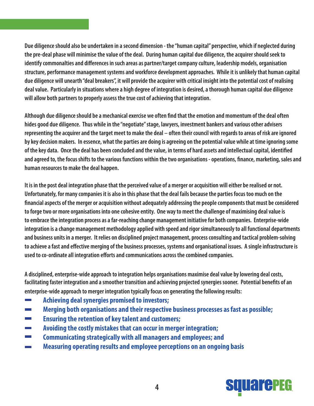**Due diligence should also be undertaken in a second dimension - the "human capital" perspective, which if neglected during the pre-deal phase will minimise the value of the deal. During human capital due diligence, the acquirer should seek to identify commonalties and differences in such areas as partner/target company culture, leadership models, organisation structure, performance management systems and workforce development approaches. While it is unlikely that human capital due diligence will unearth "deal breakers", it will provide the acquirer with critical insight into the potential cost of realising deal value. Particularly in situations where a high degree of integration is desired, a thorough human capital due diligence will allow both partners to properly assess the true cost of achieving that integration.**

**Although due diligence should be a mechanical exercise we often find that the emotion and momentum of the deal often hides good due diligence. Thus while in the "negotiate" stage, lawyers, investment bankers and various other advisers representing the acquirer and the target meet to make the deal – often their council with regards to areas of risk are ignored by key decision makers. In essence, what the parties are doing is agreeing on the potential value while at time ignoring some of the key data. Once the deal has been concluded and the value, in terms of hard assets and intellectual capital, identified and agreed to, the focus shifts to the various functions within the two organisations - operations, finance, marketing, sales and human resources to make the deal happen.**

**It is in the post deal integration phase that the perceived value of a merger or acquisition will either be realised or not. Unfortunately, for many companies it is also in this phase that the deal fails because the parties focus too much on the financial aspects of the merger or acquisition without adequately addressing the people components that must be considered to forge two or more organisations into one cohesive entity. One way to meet the challenge of maximising deal value is to embrace the integration process as a far-reaching change management initiative for both companies. Enterprise-wide integration is a change management methodology applied with speed and rigor simultaneously to all functional departments and business units in a merger. It relies on disciplined project management, process consulting and tactical problem-solving to achieve a fast and effective merging of the business processes, systems and organisational issues. A single infrastructure is used to co-ordinate all integration efforts and communications across the combined companies.**

**A disciplined, enterprise-wide approach to integration helps organisations maximise deal value by lowering deal costs, facilitating faster integration and a smoother transition and achieving projected synergies sooner. Potential benefits of an enterprise-wide approach to merger integration typically focus on generating the following results:**

- **Achieving deal synergies promised to investors;**
- **Merging both organisations and their respective business processes as fast as possible;**
- **Ensuring the retention of key talent and customers;**
- **Avoiding the costly mistakes that can occur in merger integration;**
- **Communicating strategically with all managers and employees; and**
- **Measuring operating results and employee perceptions on an ongoing basis**

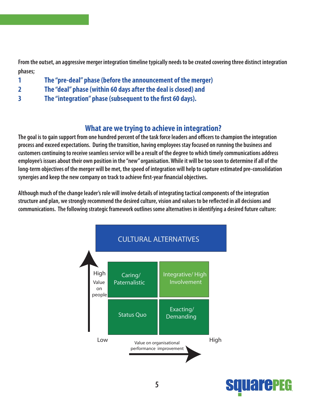From the outset, an aggressive merger integration timeline typically needs to be created covering three distinct integration phases;

- The "pre-deal" phase (before the announcement of the merger)  $\mathbf{1}$
- The "deal" phase (within 60 days after the deal is closed) and  $\overline{2}$
- $\overline{\mathbf{3}}$ The "integration" phase (subsequent to the first 60 days).

#### What are we trying to achieve in integration?

The goal is to gain support from one hundred percent of the task force leaders and officers to champion the integration process and exceed expectations. During the transition, having employees stay focused on running the business and customers continuing to receive seamless service will be a result of the degree to which timely communications address employee's issues about their own position in the "new" organisation. While it will be too soon to determine if all of the long-term objectives of the merger will be met, the speed of integration will help to capture estimated pre-consolidation synergies and keep the new company on track to achieve first-year financial objectives.

Although much of the change leader's role will involve details of integrating tactical components of the integration structure and plan, we strongly recommend the desired culture, vision and values to be reflected in all decisions and communications. The following strategic framework outlines some alternatives in identifying a desired future culture:



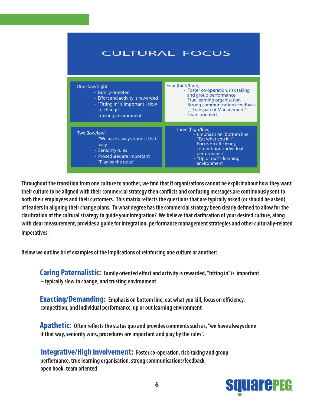

Throughout the transition from one culture to another, we find that if organisations cannot be explicit about how they want their culture to be aligned with their commercial strategy then conflicts and confusing messages are continuously sent to both their employees and their customers. This matrix reflects the questions that are typically asked (or should be asked) of leaders in aligning their change plans. To what degree has the commercial strategy been clearly defined to allow for the clarification of the cultural strategy to quide your integration? We believe that clarification of your desired culture, along with clear measurement, provides a guide for integration, performance management strategies and other culturally-related imperatives.

Below we outline brief examples of the implications of reinforcing one culture or another:

**Caring Paternalistic:** Family oriented effort and activity is rewarded, "fitting in" is important - typically slow to change, and trusting environment

**Exacting/Demanding:** Emphasis on bottom line, eat what you kill, focus on efficiency, competition, and individual performance, up or out learning environment

**Apathetic:** Often reflects the status quo and provides comments such as, "we have always done it that way, seniority wins, procedures are important and play by the rules".

**Integrative/High involvement:** Foster co-operation, risk-taking and group performance, true learning organisation, strong communications/feedback, open book, team oriented

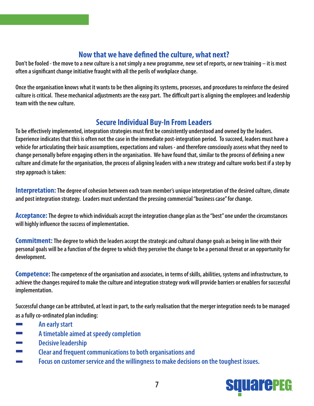#### **Now that we have defined the culture, what next?**

**Don't be fooled - the move to a new culture is a not simply a new programme, new set of reports, or new training – it is most often a significant change initiative fraught with all the perils of workplace change.** 

**Once the organisation knows what it wants to be then aligning its systems, processes, and procedures to reinforce the desired culture is critical. These mechanical adjustments are the easy part. The difficult part is aligning the employees and leadership team with the new culture.**

#### **Secure Individual Buy-In From Leaders**

**To be effectively implemented, integration strategies must first be consistently understood and owned by the leaders. Experience indicates that this is often not the case in the immediate post-integration period. To succeed, leaders must have a vehicle for articulating their basic assumptions, expectations and values - and therefore consciously assess what they need to change personally before engaging others in the organisation. We have found that, similar to the process of defining a new culture and climate for the organisation, the process of aligning leaders with a new strategy and culture works best if a step by step approach is taken:**

**Interpretation:The degree of cohesion between each team member's unique interpretation of the desired culture, climate and post integration strategy. Leaders must understand the pressing commercial "business case" for change.**

**Acceptance:The degree to which individuals accept the integration change plan as the "best" one under the circumstances will highly influence the success of implementation.** 

**Commitment:The degree to which the leaders accept the strategic and cultural change goals as being in line with their personal goals will be a function of the degree to which they perceive the change to be a personal threat or an opportunity for development.**

**Competence: The competence of the organisation and associates, in terms of skills, abilities, systems and infrastructure, to achieve the changes required to make the culture and integration strategy work will provide barriers or enablers for successful implementation.**

**Successful change can be attributed, at least in part, to the early realisation that the merger integration needs to be managed as a fully co-ordinated plan including:**

- **An early start**
- **A timetable aimed at speedy completion**
- **Example 20 Decisive leadership**
- **Example 3 Clear and frequent communications to both organisations and**
- **EXECUTE:** Focus on customer service and the willingness to make decisions on the toughest issues.

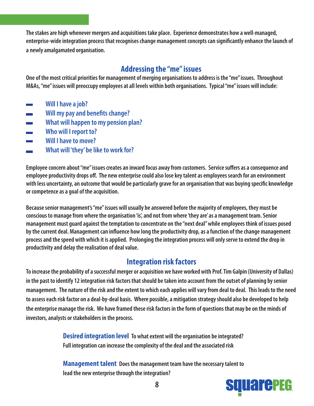**The stakes are high whenever mergers and acquisitions take place. Experience demonstrates how a well-managed, enterprise-wide integration process that recognises change management concepts can significantly enhance the launch of a newly amalgamated organisation.**

#### **Addressing the "me" issues**

**One of the most critical priorities for management of merging organisations to address is the "me" issues. Throughout M&As, "me" issues will preoccupy employees at all levels within both organisations. Typical "me" issues will include:**

- **Will I have a job?**
- **Will my pay and benefits change?**
- **EXECUTE:** What will happen to my pension plan?
- **Who will I report to?**
- **Will I have to move?**
- **Example 3 What will 'they' be like to work for?**

**Employee concern about "me" issues creates an inward focus away from customers. Service suffers as a consequence and employee productivity drops off. The new enterprise could also lose key talent as employees search for an environment with less uncertainty, an outcome that would be particularly grave for an organisation that was buying specific knowledge or competence as a goal of the acquisition.**

**Because senior management's "me" issues will usually be answered before the majority of employees, they must be conscious to manage from where the organisation 'is', and not from where 'they are' as a management team. Senior management must guard against the temptation to concentrate on the "next deal" while employees think of issues posed by the current deal. Management can influence how long the productivity drop, as a function of the change management process and the speed with which it is applied. Prolonging the integration process will only serve to extend the drop in productivity and delay the realisation of deal value.**

#### **Integration risk factors**

**To increase the probability of a successful merger or acquisition we have worked with Prof. Tim Galpin (University of Dallas) in the past to identify 12 integration risk factors that should be taken into account from the outset of planning by senior management. The nature of the risk and the extent to which each applies will vary from deal to deal. This leads to the need to assess each risk factor on a deal-by-deal basis. Where possible, a mitigation strategy should also be developed to help the enterprise manage the risk. We have framed these risk factors in the form of questions that may be on the minds of investors, analysts or stakeholders in the process.**

> **Desired integration level To what extent will the organisation be integrated? Full integration can increase the complexity of the deal and the associated risk**

> **Management talent Does the management team have the necessary talent to lead the new enterprise through the integration?**

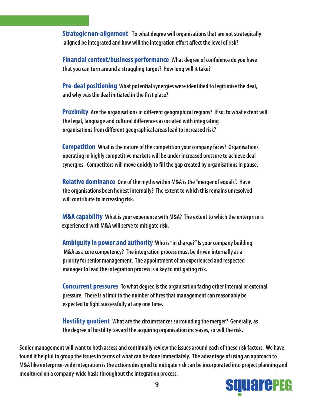**Strategic non-alignment To what degree will organisations that are not strategically aligned be integrated and how will the integration effort affect the level of risk?**

 **Financial context/business performance What degree of confidence do you have that you can turn around a struggling target? How long will it take?**

 **Pre-deal positioning What potential synergies were identified to legitimise the deal, and why was the deal initiated in the first place?**

 **Proximity Are the organisations in different geographical regions? If so, to what extent will the legal, language and cultural differences associated with integrating organisations from different geographical areas lead to increased risk?**

 **Competition What is the nature of the competition your company faces? Organisations operating in highly competitive markets will be under increased pressure to achieve deal synergies. Competitors will move quickly to fill the gap created by organisations in pause.**

 **Relative dominance One of the myths within M&A is the "merger of equals". Have the organisations been honest internally? The extent to which this remains unresolved will contribute to increasing risk.**

 **M&A capability What is your experience with M&A? The extent to which the enterprise is experienced with M&A will serve to mitigate risk.**

 **Ambiguity in power and authority Who is "in charge?" Is your company building M&A as a core competency? The integration process must be driven internally as a priority for senior management. The appointment of an experienced and respected manager to lead the integration process is a key to mitigating risk.**

 **Concurrent pressures To what degree is the organisation facing other internal or external pressure. There is a limit to the number of fires that management can reasonably be expected to fight successfully at any one time.**

 **Hostility quotient What are the circumstances surrounding the merger? Generally, as the degree of hostility toward the acquiring organisation increases, so will the risk.** 

**Senior management will want to both assess and continually review the issues around each of these risk factors. We have found it helpful to group the issues in terms of what can be done immediately. The advantage of using an approach to M&A like enterprise-wide integration is the actions designed to mitigate risk can be incorporated into project planning and monitored on a company-wide basis throughout the integration process.**

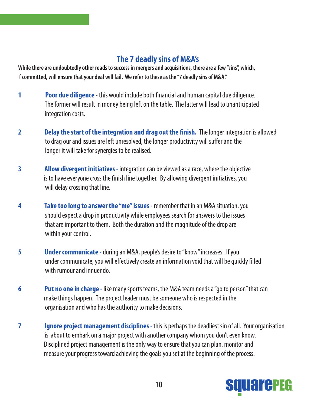#### **The 7 deadly sins of M&A's**

**While there are undoubtedly other roads to success in mergers and acquisitions, there are a few "sins", which, f committed, will ensure that your deal will fail. We refer to these as the "7 deadly sins of M&A."**

- **1 Poor due diligence** this would include both financial and human capital due diligence. The former will result in money being left on the table. The latter will lead to unanticipated integration costs.
- **2 Delay the start of the integration and drag out the finish. T**he longer integration is allowed to drag our and issues are left unresolved, the longer productivity will suffer and the longer it will take for synergies to be realised.
- **3 Allow divergent initiatives -** integration can be viewed as a race, where the objective is to have everyone cross the finish line together. By allowing divergent initiatives, you will delay crossing that line.
- **4 Take too long to answer the "me" issues - r**emember that in an M&A situation, you should expect a drop in productivity while employees search for answers to the issues that are important to them. Both the duration and the magnitude of the drop are within your control.
- **5 Under communicate -**during an M&A, people's desire to "know" increases. If you under communicate, you will effectively create an information void that will be quickly filled with rumour and innuendo.
- **6 Put no one in charge** like many sports teams, the M&A team needs a "go to person" that can make things happen. The project leader must be someone who is respected in the organisation and who has the authority to make decisions.
- **7 Ignore project management disciplines -** this is perhaps the deadliest sin of all. Your organisation is about to embark on a major project with another company whom you don't even know. Disciplined project management is the only way to ensure that you can plan, monitor and measure your progress toward achieving the goals you set at the beginning of the process.

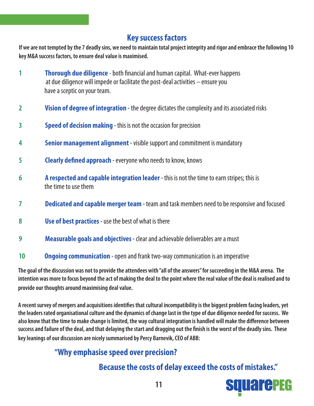#### **Key success factors**

**If we are not tempted by the 7 deadly sins, we need to maintain total project integrity and rigor and embrace the following 10 key M&A success factors, to ensure deal value is maximised.**

- **1 Thorough due diligence**  both financial and human capital. What-ever happens at due diligence will impede or facilitate the post-deal activities – ensure you have a sceptic on your team.
- **2 Vision of degree of integration -** the degree dictates the complexity and its associated risks
- **3 Speed of decision making -** this is not the occasion for precision
- **4 Senior management alignment -** visible support and commitment is mandatory
- **5 Clearly defined approach -**everyone who needs to know, knows
- **6 A respected and capable integration leader** this is not the time to earn stripes; this is the time to use them
- **7 Dedicated and capable merger team -** team and task members need to be responsive and focused
- **8 Use of best practices -**use the best of what is there
- **9 Measurable goals and objectives** clear and achievable deliverables are a must
- **10 Ongoing communication -**open and frank two-way communication is an imperative

**The goal of the discussion was not to provide the attendees with "all of the answers" for succeeding in the M&A arena. The intention was more to focus beyond the act of making the deal to the point where the real value of the deal is realised and to provide our thoughts around maximising deal value.** 

**A recent survey of mergers and acquisitions identifies that cultural incompatibility is the biggest problem facing leaders, yet the leaders rated organisational culture and the dynamics of change last in the type of due diligence needed for success. We also know that the time to make change is limited, the way cultural integration is handled will make the difference between success and failure of the deal, and that delaying the start and dragging out the finish is the worst of the deadly sins. These key leanings of our discussion are nicely summarised by Percy Barnevik, CEO of ABB:**

### **"Why emphasise speed over precision?**

#### **Because the costs of delay exceed the costs of mistakes."**

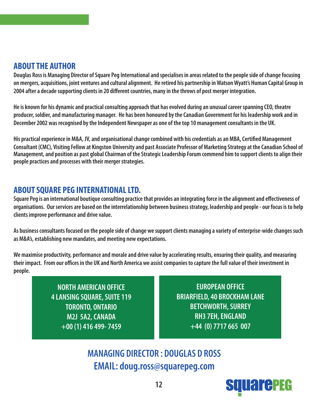#### **ABOUT THE AUTHOR**

**Douglas Ross is Managing Director of Square Peg International and specialises in areas related to the people side of change focusing on mergers, acquisitions, joint ventures and cultural alignment. He retired his partnership in Watson Wyatt's Human Capital Group in 2004 after a decade supporting clients in 20 different countries, many in the throws of post merger integration.** 

**He is known for his dynamic and practical consulting approach that has evolved during an unusual career spanning CEO, theatre producer, soldier, and manufacturing manager. He has been honoured by the Canadian Government for his leadership work and in December 2002 was recognised by the Independent Newspaper as one of the top 10 management consultants in the UK.** 

**His practical experience in M&A, JV, and organisational change combined with his credentials as an MBA, Certified Management Consultant (CMC), Visiting Fellow at Kingston University and past Associate Professor of Marketing Strategy at the Canadian School of Management, and position as past global Chairman of the Strategic Leadership Forum commend him to support clients to align their people practices and processes with their merger strategies.**

#### **ABOUT SQUARE PEG INTERNATIONAL LTD.**

**Square Peg is an international boutique consulting practice that provides an integrating force in the alignment and effectiveness of organisations. Our services are based on the interrelationship between business strategy, leadership and people - our focus is to help clients improve performance and drive value.**

**As business consultants focused on the people side of change we support clients managing a variety of enterprise-wide changes such as M&A's, establishing new mandates, and meeting new expectations.**

**We maximise productivity, performance and morale and drive value by accelerating results, ensuring their quality, and measuring their impact. From our offices in the UK and North America we assist companies to capture the full value of their investment in people.**

> **NORTH AMERICAN OFFICE 4 LANSING SQUARE, SUITE 119 TORONTO, ONTARIO M2J 5A2, CANADA +00 (1) 416 499- 7459**

**EUROPEAN OFFICE BRIARFIELD, 40 BROCKHAM LANE BETCHWORTH, SURREY RH3 7EH, ENGLAND +44 (0) 7717 665 007**

**MANAGING DIRECTOR : DOUGLAS D ROSS EMAIL: [doug.ross@squarepeg.com](mailto:doug.ross@squarepeg.com)**